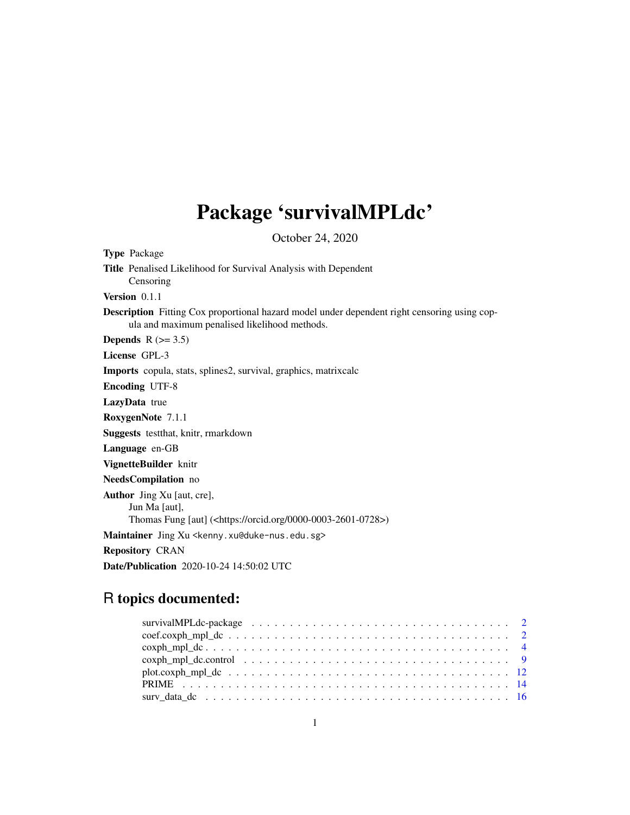# Package 'survivalMPLdc'

October 24, 2020

Type Package Title Penalised Likelihood for Survival Analysis with Dependent Censoring Version 0.1.1 Description Fitting Cox proportional hazard model under dependent right censoring using copula and maximum penalised likelihood methods. Depends  $R$  ( $>= 3.5$ ) License GPL-3 Imports copula, stats, splines2, survival, graphics, matrixcalc Encoding UTF-8 LazyData true RoxygenNote 7.1.1 Suggests testthat, knitr, rmarkdown Language en-GB VignetteBuilder knitr NeedsCompilation no Author Jing Xu [aut, cre], Jun Ma [aut], Thomas Fung [aut] (<https://orcid.org/0000-0003-2601-0728>) Maintainer Jing Xu <kenny.xu@duke-nus.edu.sg> Repository CRAN Date/Publication 2020-10-24 14:50:02 UTC

# R topics documented: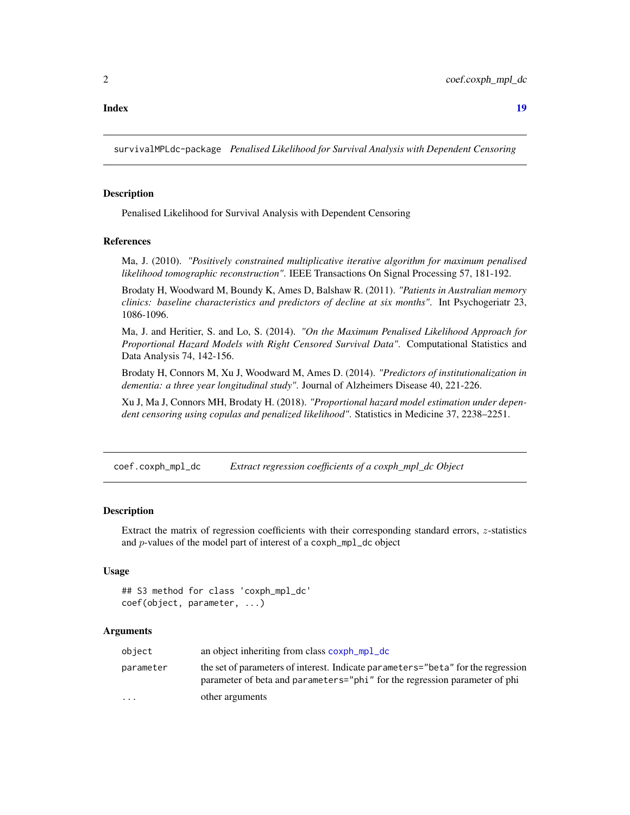#### <span id="page-1-0"></span>**Index** 2008 **[19](#page-18-0)99**

survivalMPLdc-package *Penalised Likelihood for Survival Analysis with Dependent Censoring*

## **Description**

Penalised Likelihood for Survival Analysis with Dependent Censoring

#### References

Ma, J. (2010). *"Positively constrained multiplicative iterative algorithm for maximum penalised likelihood tomographic reconstruction"*. IEEE Transactions On Signal Processing 57, 181-192.

Brodaty H, Woodward M, Boundy K, Ames D, Balshaw R. (2011). *"Patients in Australian memory clinics: baseline characteristics and predictors of decline at six months"*. Int Psychogeriatr 23, 1086-1096.

Ma, J. and Heritier, S. and Lo, S. (2014). *"On the Maximum Penalised Likelihood Approach for Proportional Hazard Models with Right Censored Survival Data"*. Computational Statistics and Data Analysis 74, 142-156.

Brodaty H, Connors M, Xu J, Woodward M, Ames D. (2014). *"Predictors of institutionalization in dementia: a three year longitudinal study"*. Journal of Alzheimers Disease 40, 221-226.

Xu J, Ma J, Connors MH, Brodaty H. (2018). *"Proportional hazard model estimation under dependent censoring using copulas and penalized likelihood"*. Statistics in Medicine 37, 2238–2251.

<span id="page-1-1"></span>coef.coxph\_mpl\_dc *Extract regression coefficients of a coxph\_mpl\_dc Object*

#### **Description**

Extract the matrix of regression coefficients with their corresponding standard errors, z-statistics and p-values of the model part of interest of a coxph\_mpl\_dc object

#### Usage

```
## S3 method for class 'coxph_mpl_dc'
coef(object, parameter, ...)
```
# **Arguments**

| object    | an object inheriting from class coxph_mpl_dc                                                                                                                   |
|-----------|----------------------------------------------------------------------------------------------------------------------------------------------------------------|
| parameter | the set of parameters of interest. Indicate parameters="beta" for the regression<br>parameter of beta and parameters="phi" for the regression parameter of phi |
| $\ddotsc$ | other arguments                                                                                                                                                |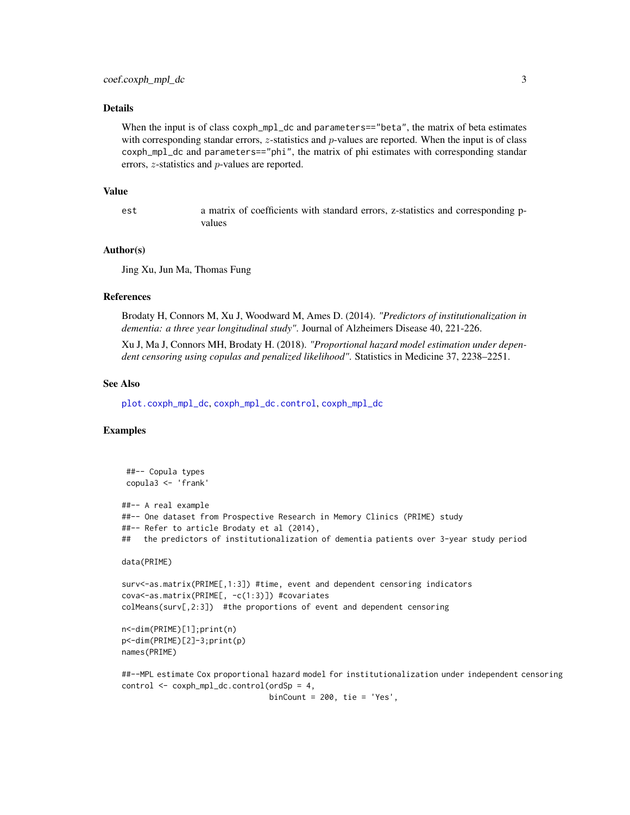# <span id="page-2-0"></span>Details

When the input is of class coxph\_mpl\_dc and parameters=="beta", the matrix of beta estimates with corresponding standar errors,  $z$ -statistics and  $p$ -values are reported. When the input is of class coxph\_mpl\_dc and parameters=="phi", the matrix of phi estimates with corresponding standar errors, z-statistics and p-values are reported.

#### Value

est a matrix of coefficients with standard errors, z-statistics and corresponding pvalues

# Author(s)

Jing Xu, Jun Ma, Thomas Fung

# References

Brodaty H, Connors M, Xu J, Woodward M, Ames D. (2014). *"Predictors of institutionalization in dementia: a three year longitudinal study"*. Journal of Alzheimers Disease 40, 221-226.

Xu J, Ma J, Connors MH, Brodaty H. (2018). *"Proportional hazard model estimation under dependent censoring using copulas and penalized likelihood"*. Statistics in Medicine 37, 2238–2251.

# See Also

[plot.coxph\\_mpl\\_dc](#page-11-1), [coxph\\_mpl\\_dc.control](#page-8-1), [coxph\\_mpl\\_dc](#page-3-1)

# Examples

```
##-- Copula types
copula3 <- 'frank'
##-- A real example
##-- One dataset from Prospective Research in Memory Clinics (PRIME) study
##-- Refer to article Brodaty et al (2014),
## the predictors of institutionalization of dementia patients over 3-year study period
data(PRIME)
surv<-as.matrix(PRIME[,1:3]) #time, event and dependent censoring indicators
cova<-as.matrix(PRIME[, -c(1:3)]) #covariates
colMeans(surv[,2:3]) #the proportions of event and dependent censoring
n<-dim(PRIME)[1];print(n)
p<-dim(PRIME)[2]-3;print(p)
names(PRIME)
```

```
##--MPL estimate Cox proportional hazard model for institutionalization under independent censoring
control <- coxph_mpl_dc.control(ordSp = 4,
```
binCount =  $200$ , tie = 'Yes',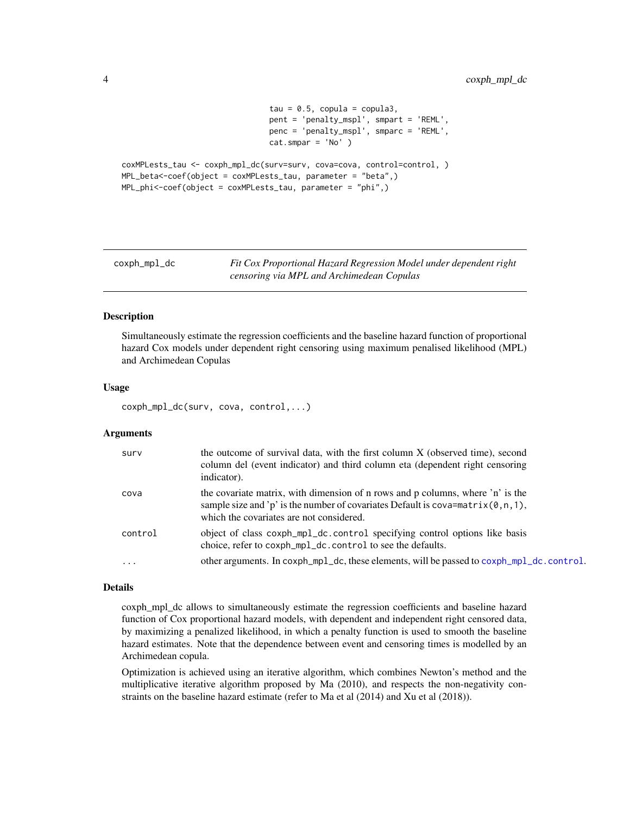```
tau = 0.5, copula = copula3,
                                pent = 'penalty_mspl', smpart = 'REML',
                                penc = 'penalty_mspl', smparc = 'REML',
                                cat.smpar = 'No' )coxMPLests_tau <- coxph_mpl_dc(surv=surv, cova=cova, control=control, )
MPL_beta<-coef(object = coxMPLests_tau, parameter = "beta",)
MPL_phi<-coef(object = coxMPLests_tau, parameter = "phi",)
```
<span id="page-3-1"></span>coxph\_mpl\_dc *Fit Cox Proportional Hazard Regression Model under dependent right censoring via MPL and Archimedean Copulas*

# Description

Simultaneously estimate the regression coefficients and the baseline hazard function of proportional hazard Cox models under dependent right censoring using maximum penalised likelihood (MPL) and Archimedean Copulas

#### Usage

coxph\_mpl\_dc(surv, cova, control,...)

# Arguments

| surv       | the outcome of survival data, with the first column X (observed time), second<br>column del (event indicator) and third column eta (dependent right censoring<br>indicator).                                        |
|------------|---------------------------------------------------------------------------------------------------------------------------------------------------------------------------------------------------------------------|
| cova       | the covariate matrix, with dimension of n rows and p columns, where 'n' is the<br>sample size and 'p' is the number of covariates Default is $cova = matrix(0, n, 1)$ ,<br>which the covariates are not considered. |
| control    | object of class coxph_mpl_dc.control specifying control options like basis<br>choice, refer to coxph_mpl_dc.control to see the defaults.                                                                            |
| $\ddots$ . | other arguments. In coxph_mpl_dc, these elements, will be passed to coxph_mpl_dc.control.                                                                                                                           |

# Details

coxph\_mpl\_dc allows to simultaneously estimate the regression coefficients and baseline hazard function of Cox proportional hazard models, with dependent and independent right censored data, by maximizing a penalized likelihood, in which a penalty function is used to smooth the baseline hazard estimates. Note that the dependence between event and censoring times is modelled by an Archimedean copula.

Optimization is achieved using an iterative algorithm, which combines Newton's method and the multiplicative iterative algorithm proposed by Ma (2010), and respects the non-negativity constraints on the baseline hazard estimate (refer to Ma et al (2014) and Xu et al (2018)).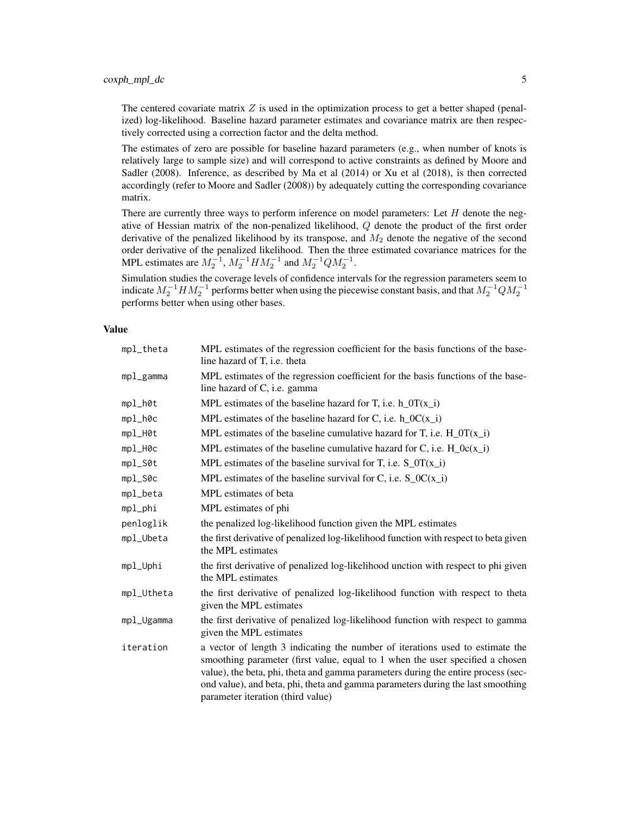The centered covariate matrix  $Z$  is used in the optimization process to get a better shaped (penalized) log-likelihood. Baseline hazard parameter estimates and covariance matrix are then respectively corrected using a correction factor and the delta method.

The estimates of zero are possible for baseline hazard parameters (e.g., when number of knots is relatively large to sample size) and will correspond to active constraints as defined by Moore and Sadler (2008). Inference, as described by Ma et al (2014) or Xu et al (2018), is then corrected accordingly (refer to Moore and Sadler (2008)) by adequately cutting the corresponding covariance matrix.

There are currently three ways to perform inference on model parameters: Let  $H$  denote the negative of Hessian matrix of the non-penalized likelihood,  $Q$  denote the product of the first order derivative of the penalized likelihood by its transpose, and  $M_2$  denote the negative of the second order derivative of the penalized likelihood. Then the three estimated covariance matrices for the MPL estimates are  $M_2^{-1}$ ,  $M_2^{-1}HM_2^{-1}$  and  $M_2^{-1}QM_2^{-1}$ .

Simulation studies the coverage levels of confidence intervals for the regression parameters seem to indicate  $M_2^{-1}HM_2^{-1}$  performs better when using the piecewise constant basis, and that  $M_2^{-1}QM_2^{-1}$ performs better when using other bases.

# Value

| mpl_theta  | MPL estimates of the regression coefficient for the basis functions of the base-<br>line hazard of T, i.e. theta                                                                                                                                                                                                                                                            |
|------------|-----------------------------------------------------------------------------------------------------------------------------------------------------------------------------------------------------------------------------------------------------------------------------------------------------------------------------------------------------------------------------|
| mpl_gamma  | MPL estimates of the regression coefficient for the basis functions of the base-<br>line hazard of C, i.e. gamma                                                                                                                                                                                                                                                            |
| mpl_h0t    | MPL estimates of the baseline hazard for T, i.e. $h_0(T(x_i))$                                                                                                                                                                                                                                                                                                              |
| mpl_h0c    | MPL estimates of the baseline hazard for C, i.e. $h_{0}C(x_i)$                                                                                                                                                                                                                                                                                                              |
| mpl_H0t    | MPL estimates of the baseline cumulative hazard for T, i.e. $H_0T(x_i)$                                                                                                                                                                                                                                                                                                     |
| mpl_H0c    | MPL estimates of the baseline cumulative hazard for C, i.e. $H_0c(x_i)$                                                                                                                                                                                                                                                                                                     |
| $mp1\_S@t$ | MPL estimates of the baseline survival for T, i.e. $S_0T(x_i)$                                                                                                                                                                                                                                                                                                              |
| $mp1\_S0c$ | MPL estimates of the baseline survival for C, i.e. $S_0C(x_i)$                                                                                                                                                                                                                                                                                                              |
| mpl_beta   | MPL estimates of beta                                                                                                                                                                                                                                                                                                                                                       |
| mpl_phi    | MPL estimates of phi                                                                                                                                                                                                                                                                                                                                                        |
| penloglik  | the penalized log-likelihood function given the MPL estimates                                                                                                                                                                                                                                                                                                               |
| mpl_Ubeta  | the first derivative of penalized log-likelihood function with respect to beta given<br>the MPL estimates                                                                                                                                                                                                                                                                   |
| mpl_Uphi   | the first derivative of penalized log-likelihood unction with respect to phi given<br>the MPL estimates                                                                                                                                                                                                                                                                     |
| mpl_Utheta | the first derivative of penalized log-likelihood function with respect to theta<br>given the MPL estimates                                                                                                                                                                                                                                                                  |
| mpl_Ugamma | the first derivative of penalized log-likelihood function with respect to gamma<br>given the MPL estimates                                                                                                                                                                                                                                                                  |
| iteration  | a vector of length 3 indicating the number of iterations used to estimate the<br>smoothing parameter (first value, equal to 1 when the user specified a chosen<br>value), the beta, phi, theta and gamma parameters during the entire process (sec-<br>ond value), and beta, phi, theta and gamma parameters during the last smoothing<br>parameter iteration (third value) |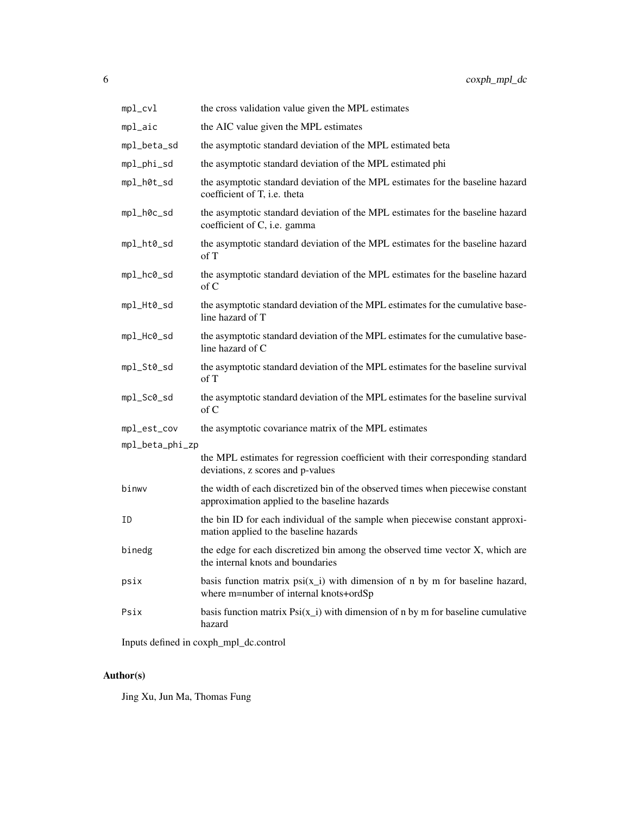| $mp1$ _cvl      | the cross validation value given the MPL estimates                                                                               |
|-----------------|----------------------------------------------------------------------------------------------------------------------------------|
| mpl_aic         | the AIC value given the MPL estimates                                                                                            |
| mpl_beta_sd     | the asymptotic standard deviation of the MPL estimated beta                                                                      |
| mpl_phi_sd      | the asymptotic standard deviation of the MPL estimated phi                                                                       |
| mpl_h0t_sd      | the asymptotic standard deviation of the MPL estimates for the baseline hazard<br>coefficient of T, i.e. theta                   |
| mpl_h0c_sd      | the asymptotic standard deviation of the MPL estimates for the baseline hazard<br>coefficient of C, i.e. gamma                   |
| mpl_ht0_sd      | the asymptotic standard deviation of the MPL estimates for the baseline hazard<br>of T                                           |
| mpl_hc0_sd      | the asymptotic standard deviation of the MPL estimates for the baseline hazard<br>of C                                           |
| mpl_Ht0_sd      | the asymptotic standard deviation of the MPL estimates for the cumulative base-<br>line hazard of T                              |
| mpl_Hc0_sd      | the asymptotic standard deviation of the MPL estimates for the cumulative base-<br>line hazard of C                              |
| mpl_St0_sd      | the asymptotic standard deviation of the MPL estimates for the baseline survival<br>of T                                         |
| mpl_Sc0_sd      | the asymptotic standard deviation of the MPL estimates for the baseline survival<br>$\alpha$ f C                                 |
| mpl_est_cov     | the asymptotic covariance matrix of the MPL estimates                                                                            |
| mpl_beta_phi_zp |                                                                                                                                  |
|                 | the MPL estimates for regression coefficient with their corresponding standard<br>deviations, z scores and p-values              |
| binwv           | the width of each discretized bin of the observed times when piecewise constant<br>approximation applied to the baseline hazards |
| ΙD              | the bin ID for each individual of the sample when piecewise constant approxi-<br>mation applied to the baseline hazards          |
| binedg          | the edge for each discretized bin among the observed time vector X, which are<br>the internal knots and boundaries               |
| psix            | basis function matrix $psi(x_i)$ with dimension of n by m for baseline hazard,<br>where m=number of internal knots+ordSp         |
| Psix            | basis function matrix $\text{Psi}(x_i)$ with dimension of n by m for baseline cumulative<br>hazard                               |

Inputs defined in coxph\_mpl\_dc.control

# Author(s)

Jing Xu, Jun Ma, Thomas Fung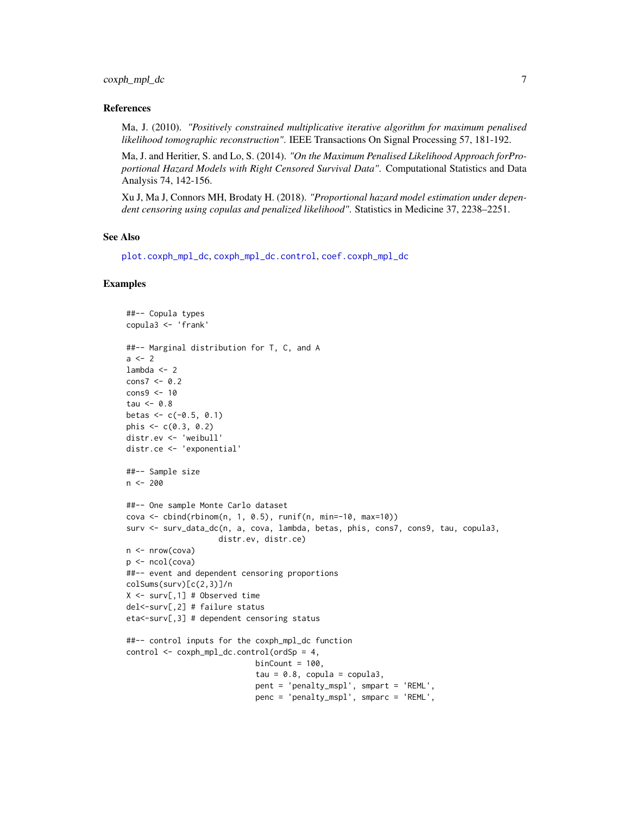# <span id="page-6-0"></span>coxph\_mpl\_dc 7

#### References

Ma, J. (2010). *"Positively constrained multiplicative iterative algorithm for maximum penalised likelihood tomographic reconstruction"*. IEEE Transactions On Signal Processing 57, 181-192.

Ma, J. and Heritier, S. and Lo, S. (2014). *"On the Maximum Penalised Likelihood Approach forProportional Hazard Models with Right Censored Survival Data"*. Computational Statistics and Data Analysis 74, 142-156.

Xu J, Ma J, Connors MH, Brodaty H. (2018). *"Proportional hazard model estimation under dependent censoring using copulas and penalized likelihood"*. Statistics in Medicine 37, 2238–2251.

# See Also

[plot.coxph\\_mpl\\_dc](#page-11-1), [coxph\\_mpl\\_dc.control](#page-8-1), [coef.coxph\\_mpl\\_dc](#page-1-1)

```
##-- Copula types
copula3 <- 'frank'
##-- Marginal distribution for T, C, and A
a < -2lambda <-2cons7 < -0.2cons9 <- 10
tau < -0.8betas <-c(-0.5, 0.1)phis \leq -c(0.3, 0.2)distr.ev <- 'weibull'
distr.ce <- 'exponential'
##-- Sample size
n <- 200
##-- One sample Monte Carlo dataset
cova <- cbind(rbinom(n, 1, 0.5), runif(n, min=-10, max=10))
surv <- surv_data_dc(n, a, cova, lambda, betas, phis, cons7, cons9, tau, copula3,
                    distr.ev, distr.ce)
n \leq -nrow(cova)p <- ncol(cova)
##-- event and dependent censoring proportions
colSums(surv)[c(2,3)]/n
X \le -\text{surv}[, 1] # Observed time
del<-surv[,2] # failure status
eta<-surv[,3] # dependent censoring status
##-- control inputs for the coxph_mpl_dc function
control <- coxph_mpl_dc.control(ordSp = 4,
                            binCount = 100,
                            tau = 0.8, copula = copula3,
                            pent = 'penalty_mspl', smpart = 'REML',
                            penc = 'penalty_mspl', smparc = 'REML',
```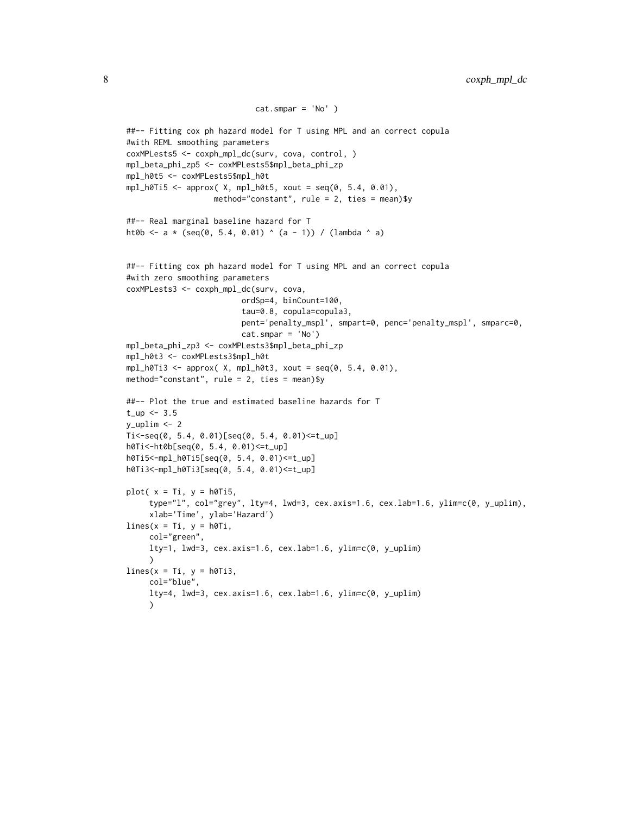```
cat.smpar = 'No' )
##-- Fitting cox ph hazard model for T using MPL and an correct copula
#with REML smoothing parameters
coxMPLests5 <- coxph_mpl_dc(surv, cova, control, )
mpl_beta_phi_zp5 <- coxMPLests5$mpl_beta_phi_zp
mpl_h0t5 <- coxMPLests5$mpl_h0t
mpl_h0Ti5 < approx( X, mpl_h0t5, xout = seq(0, 5.4, 0.01),
                   method="constant", rule = 2, ties = mean)$y
##-- Real marginal baseline hazard for T
ht0b <- a * (seq(0, 5.4, 0.01) ^ (a - 1)) / (lambda ^ a)
##-- Fitting cox ph hazard model for T using MPL and an correct copula
#with zero smoothing parameters
coxMPLests3 <- coxph_mpl_dc(surv, cova,
                         ordSp=4, binCount=100,
                         tau=0.8, copula=copula3,
                         pent='penalty_mspl', smpart=0, penc='penalty_mspl', smparc=0,
                         cat.smpar = 'No')
mpl_beta_phi_zp3 <- coxMPLests3$mpl_beta_phi_zp
mpl_h0t3 <- coxMPLests3$mpl_h0t
mpl_h0Ti3 \leq approx( X, mpl_h0t3, xout = seq(0, 5.4, 0.01),method="constant", rule = 2, ties = mean)$y
##-- Plot the true and estimated baseline hazards for T
t_{up} < -3.5y_uplim <- 2
Ti<-seq(0, 5.4, 0.01)[seq(0, 5.4, 0.01)<=t_up]
h0Ti<-ht0b[seq(0, 5.4, 0.01)<=t_up]
h0Ti5<-mpl_h0Ti5[seq(0, 5.4, 0.01)<=t_up]
h0Ti3<-mpl_h0Ti3[seq(0, 5.4, 0.01)<=t_up]
plot(x = Ti, y = h0Ti5,
     type="l", col="grey", lty=4, lwd=3, cex.axis=1.6, cex.lab=1.6, ylim=c(0, y_uplim),
     xlab='Time', ylab='Hazard')
lines(x = Ti, y = h0Ti,col="green",
     lty=1, lwd=3, cex.axis=1.6, cex.lab=1.6, ylim=c(0, y_uplim)
     \lambdalines(x = Ti, y = h0Ti3,col="blue",
     lty=4, lwd=3, cex.axis=1.6, cex.lab=1.6, ylim=c(0, y_uplim)
     \sum
```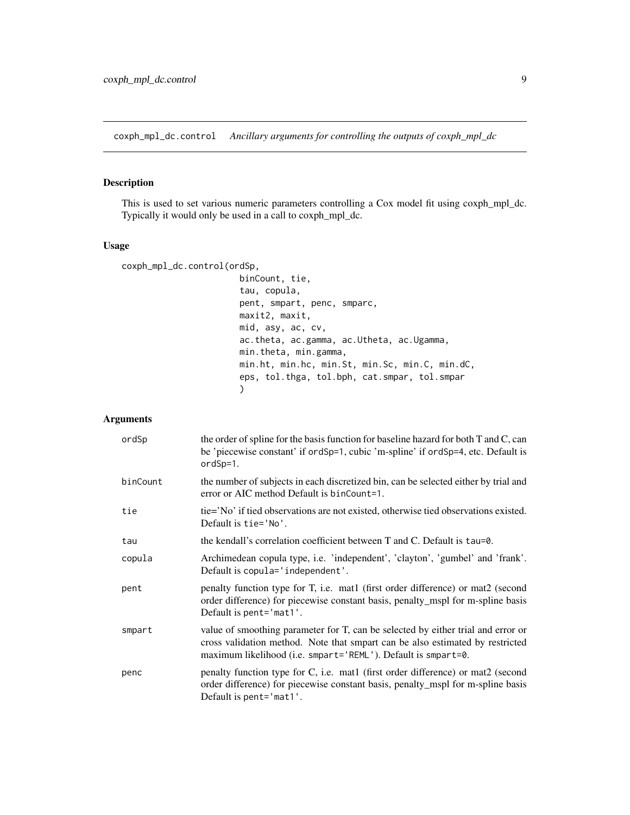<span id="page-8-1"></span><span id="page-8-0"></span>coxph\_mpl\_dc.control *Ancillary arguments for controlling the outputs of coxph\_mpl\_dc*

# Description

This is used to set various numeric parameters controlling a Cox model fit using coxph\_mpl\_dc. Typically it would only be used in a call to coxph\_mpl\_dc.

# Usage

```
coxph_mpl_dc.control(ordSp,
                        binCount, tie,
                        tau, copula,
                        pent, smpart, penc, smparc,
                        maxit2, maxit,
                        mid, asy, ac, cv,
                        ac.theta, ac.gamma, ac.Utheta, ac.Ugamma,
                        min.theta, min.gamma,
                        min.ht, min.hc, min.St, min.Sc, min.C, min.dC,
                        eps, tol.thga, tol.bph, cat.smpar, tol.smpar
                        \mathcal{L}
```
# Arguments

| ordSp    | the order of spline for the basis function for baseline hazard for both T and C, can<br>be 'piecewise constant' if ordSp=1, cubic 'm-spline' if ordSp=4, etc. Default is<br>$ordSp=1.$                                             |
|----------|------------------------------------------------------------------------------------------------------------------------------------------------------------------------------------------------------------------------------------|
| binCount | the number of subjects in each discretized bin, can be selected either by trial and<br>error or AIC method Default is binCount=1.                                                                                                  |
| tie      | tie='No' if tied observations are not existed, otherwise tied observations existed.<br>Default is tie='No'.                                                                                                                        |
| tau      | the kendall's correlation coefficient between T and C. Default is tau=0.                                                                                                                                                           |
| copula   | Archimedean copula type, i.e. 'independent', 'clayton', 'gumbel' and 'frank'.<br>Default is copula='independent'.                                                                                                                  |
| pent     | penalty function type for T, i.e. mat1 (first order difference) or mat2 (second<br>order difference) for piecewise constant basis, penalty_mspl for m-spline basis<br>Default is pent= $\text{mat1}'.$                             |
| smpart   | value of smoothing parameter for T, can be selected by either trial and error or<br>cross validation method. Note that smpart can be also estimated by restricted<br>maximum likelihood (i.e. smpart='REML'). Default is smpart=0. |
| penc     | penalty function type for C, i.e. mat1 (first order difference) or mat2 (second<br>order difference) for piecewise constant basis, penalty_mspl for m-spline basis<br>Default is pent='mat1'.                                      |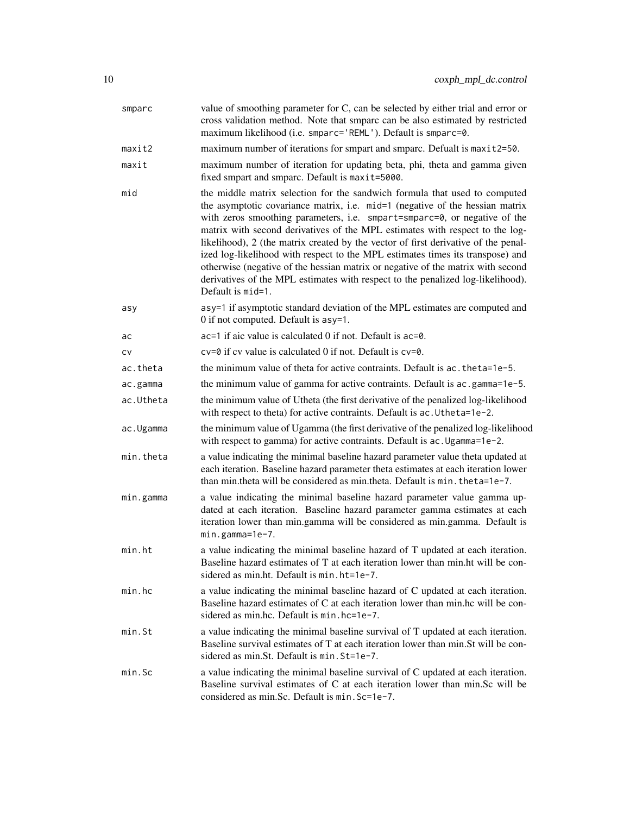| smparc    | value of smoothing parameter for C, can be selected by either trial and error or<br>cross validation method. Note that smparc can be also estimated by restricted<br>maximum likelihood (i.e. smparc='REML'). Default is smparc=0.                                                                                                                                                                                                                                                                                                                                                                                                                                                         |
|-----------|--------------------------------------------------------------------------------------------------------------------------------------------------------------------------------------------------------------------------------------------------------------------------------------------------------------------------------------------------------------------------------------------------------------------------------------------------------------------------------------------------------------------------------------------------------------------------------------------------------------------------------------------------------------------------------------------|
| maxit2    | maximum number of iterations for smpart and smparc. Defualt is maxit2=50.                                                                                                                                                                                                                                                                                                                                                                                                                                                                                                                                                                                                                  |
| maxit     | maximum number of iteration for updating beta, phi, theta and gamma given<br>fixed smpart and smparc. Default is maxit=5000.                                                                                                                                                                                                                                                                                                                                                                                                                                                                                                                                                               |
| mid       | the middle matrix selection for the sandwich formula that used to computed<br>the asymptotic covariance matrix, i.e. mid=1 (negative of the hessian matrix<br>with zeros smoothing parameters, i.e. smpart=smparc=0, or negative of the<br>matrix with second derivatives of the MPL estimates with respect to the log-<br>likelihood), 2 (the matrix created by the vector of first derivative of the penal-<br>ized log-likelihood with respect to the MPL estimates times its transpose) and<br>otherwise (negative of the hessian matrix or negative of the matrix with second<br>derivatives of the MPL estimates with respect to the penalized log-likelihood).<br>Default is mid=1. |
| asy       | asy=1 if asymptotic standard deviation of the MPL estimates are computed and<br>0 if not computed. Default is asy=1.                                                                                                                                                                                                                                                                                                                                                                                                                                                                                                                                                                       |
| ac        | ac=1 if aic value is calculated 0 if not. Default is ac=0.                                                                                                                                                                                                                                                                                                                                                                                                                                                                                                                                                                                                                                 |
| CV        | $cv=0$ if cv value is calculated 0 if not. Default is $cv=0$ .                                                                                                                                                                                                                                                                                                                                                                                                                                                                                                                                                                                                                             |
| ac.theta  | the minimum value of theta for active contraints. Default is ac. theta=1e-5.                                                                                                                                                                                                                                                                                                                                                                                                                                                                                                                                                                                                               |
| ac.gamma  | the minimum value of gamma for active contraints. Default is ac.gamma=1e-5.                                                                                                                                                                                                                                                                                                                                                                                                                                                                                                                                                                                                                |
| ac.Utheta | the minimum value of Utheta (the first derivative of the penalized log-likelihood<br>with respect to theta) for active contraints. Default is ac. Utheta=1e-2.                                                                                                                                                                                                                                                                                                                                                                                                                                                                                                                             |
| ac.Ugamma | the minimum value of Ugamma (the first derivative of the penalized log-likelihood<br>with respect to gamma) for active contraints. Default is ac. Ugamma=1e-2.                                                                                                                                                                                                                                                                                                                                                                                                                                                                                                                             |
| min.theta | a value indicating the minimal baseline hazard parameter value theta updated at<br>each iteration. Baseline hazard parameter theta estimates at each iteration lower<br>than min. theta will be considered as min. theta. Default is $min.$ theta= $1e-7$ .                                                                                                                                                                                                                                                                                                                                                                                                                                |
| min.gamma | a value indicating the minimal baseline hazard parameter value gamma up-<br>dated at each iteration. Baseline hazard parameter gamma estimates at each<br>iteration lower than min.gamma will be considered as min.gamma. Default is<br>min.gamma=1e-7.                                                                                                                                                                                                                                                                                                                                                                                                                                    |
| $min.$ ht | a value indicating the minimal baseline hazard of T updated at each iteration.<br>Baseline hazard estimates of T at each iteration lower than min.ht will be con-<br>sidered as min.ht. Default is min.ht=1e-7.                                                                                                                                                                                                                                                                                                                                                                                                                                                                            |
| min.hc    | a value indicating the minimal baseline hazard of C updated at each iteration.<br>Baseline hazard estimates of C at each iteration lower than min.hc will be con-<br>sidered as min.hc. Default is min.hc=1e-7.                                                                                                                                                                                                                                                                                                                                                                                                                                                                            |
| $min.$ St | a value indicating the minimal baseline survival of T updated at each iteration.<br>Baseline survival estimates of T at each iteration lower than min. St will be con-<br>sidered as min. St. Default is min. St=1e-7.                                                                                                                                                                                                                                                                                                                                                                                                                                                                     |
| $min.$ Sc | a value indicating the minimal baseline survival of C updated at each iteration.<br>Baseline survival estimates of C at each iteration lower than min.Sc will be<br>considered as min.Sc. Default is min.Sc=1e-7.                                                                                                                                                                                                                                                                                                                                                                                                                                                                          |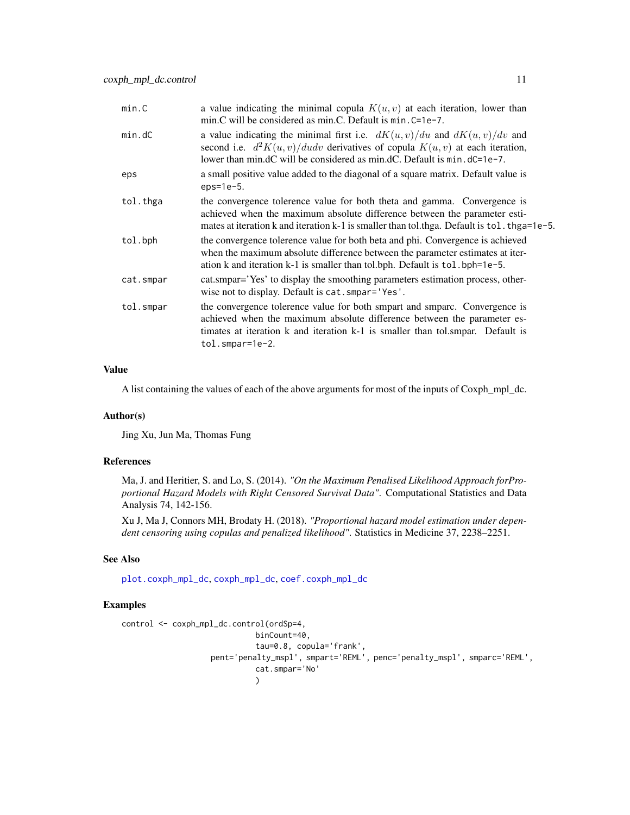<span id="page-10-0"></span>

| min.C     | a value indicating the minimal copula $K(u, v)$ at each iteration, lower than<br>min.C will be considered as min.C. Default is $min.C = 1e-7$ .                                                                                                            |
|-----------|------------------------------------------------------------------------------------------------------------------------------------------------------------------------------------------------------------------------------------------------------------|
| min.dC    | a value indicating the minimal first i.e. $dK(u, v)/du$ and $dK(u, v)/dv$ and<br>second i.e. $d^2K(u, v)/dudv$ derivatives of copula $K(u, v)$ at each iteration,<br>lower than min.dC will be considered as min.dC. Default is $min. dC = 1e-7$ .         |
| eps       | a small positive value added to the diagonal of a square matrix. Default value is<br>$eps=1e-5.$                                                                                                                                                           |
| tol.thga  | the convergence tolerence value for both theta and gamma. Convergence is<br>achieved when the maximum absolute difference between the parameter esti-<br>mates at iteration k and iteration k-1 is smaller than tol.thga. Default is tol. thga=1e-5.       |
| tol.bph   | the convergence tolerence value for both beta and phi. Convergence is achieved<br>when the maximum absolute difference between the parameter estimates at iter-<br>ation k and iteration k-1 is smaller than tol.bph. Default is tol.bph=1e-5.             |
| cat.smpar | cat.smpar='Yes' to display the smoothing parameters estimation process, other-<br>wise not to display. Default is cat. smpar='Yes'.                                                                                                                        |
| tol.smpar | the convergence tolerence value for both smpart and smparc. Convergence is<br>achieved when the maximum absolute difference between the parameter es-<br>timates at iteration k and iteration k-1 is smaller than tol.smpar. Default is<br>tol.smpar=1e-2. |
|           |                                                                                                                                                                                                                                                            |

# Value

A list containing the values of each of the above arguments for most of the inputs of Coxph\_mpl\_dc.

#### Author(s)

Jing Xu, Jun Ma, Thomas Fung

# References

Ma, J. and Heritier, S. and Lo, S. (2014). *"On the Maximum Penalised Likelihood Approach forProportional Hazard Models with Right Censored Survival Data"*. Computational Statistics and Data Analysis 74, 142-156.

Xu J, Ma J, Connors MH, Brodaty H. (2018). *"Proportional hazard model estimation under dependent censoring using copulas and penalized likelihood"*. Statistics in Medicine 37, 2238–2251.

# See Also

[plot.coxph\\_mpl\\_dc](#page-11-1), [coxph\\_mpl\\_dc](#page-3-1), [coef.coxph\\_mpl\\_dc](#page-1-1)

```
control <- coxph_mpl_dc.control(ordSp=4,
                             binCount=40,
                             tau=0.8, copula='frank',
                   pent='penalty_mspl', smpart='REML', penc='penalty_mspl', smparc='REML',
                             cat.smpar='No'
                             )
```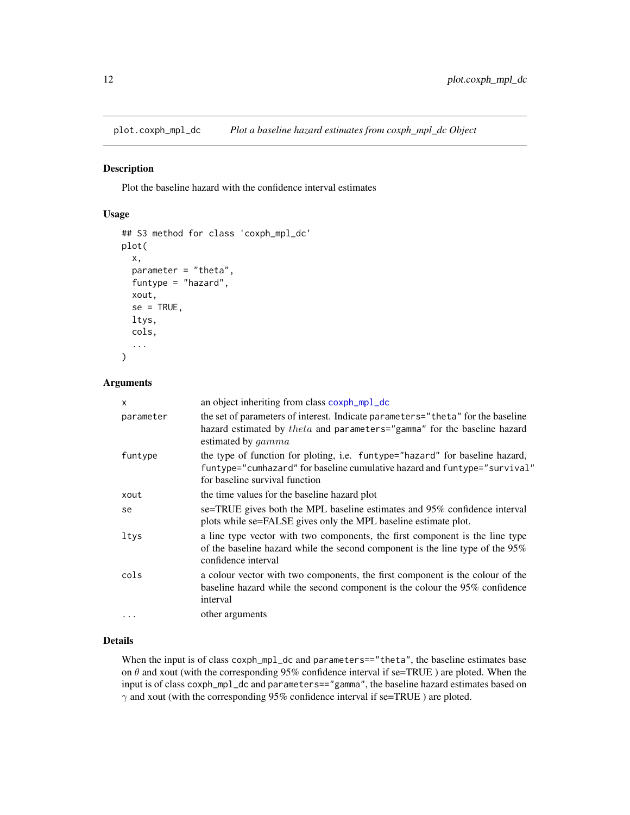<span id="page-11-1"></span><span id="page-11-0"></span>plot.coxph\_mpl\_dc *Plot a baseline hazard estimates from coxph\_mpl\_dc Object*

# Description

Plot the baseline hazard with the confidence interval estimates

# Usage

```
## S3 method for class 'coxph_mpl_dc'
plot(
  x,
  parameter = "theta",
  funtype = "hazard",
  xout,
  se = TRUE,ltys,
  cols,
  ...
\mathcal{L}
```
# Arguments

| $\mathsf{x}$ | an object inheriting from class coxph_mpl_dc                                                                                                                                                |
|--------------|---------------------------------------------------------------------------------------------------------------------------------------------------------------------------------------------|
| parameter    | the set of parameters of interest. Indicate parameters="theta" for the baseline<br>hazard estimated by $theta$ and parameters="gamma" for the baseline hazard<br>estimated by <i>gamma</i>  |
| funtype      | the type of function for ploting, i.e. funtype="hazard" for baseline hazard,<br>funtype="cumhazard" for baseline cumulative hazard and funtype="survival"<br>for baseline survival function |
| xout         | the time values for the baseline hazard plot                                                                                                                                                |
| se           | se=TRUE gives both the MPL baseline estimates and 95% confidence interval<br>plots while se=FALSE gives only the MPL baseline estimate plot.                                                |
| ltys         | a line type vector with two components, the first component is the line type<br>of the baseline hazard while the second component is the line type of the $95\%$<br>confidence interval     |
| cols         | a colour vector with two components, the first component is the colour of the<br>baseline hazard while the second component is the colour the 95% confidence<br>interval                    |
| $\ddotsc$    | other arguments                                                                                                                                                                             |

# Details

When the input is of class coxph\_mpl\_dc and parameters=="theta", the baseline estimates base on  $\theta$  and xout (with the corresponding 95% confidence interval if se=TRUE) are ploted. When the input is of class coxph\_mpl\_dc and parameters=="gamma", the baseline hazard estimates based on  $\gamma$  and xout (with the corresponding 95% confidence interval if se=TRUE) are ploted.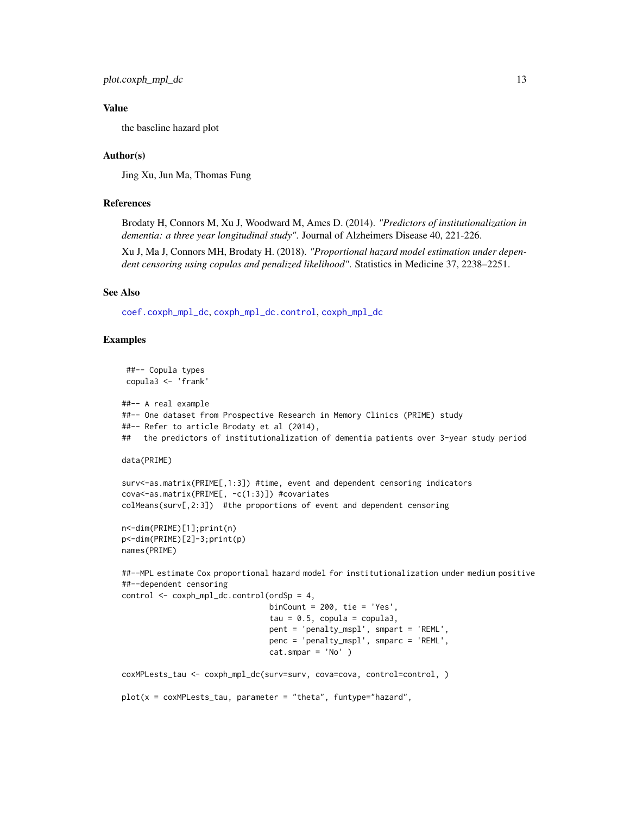<span id="page-12-0"></span>plot.coxph\_mpl\_dc 13

# Value

the baseline hazard plot

# Author(s)

Jing Xu, Jun Ma, Thomas Fung

# References

Brodaty H, Connors M, Xu J, Woodward M, Ames D. (2014). *"Predictors of institutionalization in dementia: a three year longitudinal study"*. Journal of Alzheimers Disease 40, 221-226.

Xu J, Ma J, Connors MH, Brodaty H. (2018). *"Proportional hazard model estimation under dependent censoring using copulas and penalized likelihood"*. Statistics in Medicine 37, 2238–2251.

# See Also

[coef.coxph\\_mpl\\_dc](#page-1-1), [coxph\\_mpl\\_dc.control](#page-8-1), [coxph\\_mpl\\_dc](#page-3-1)

```
##-- Copula types
copula3 <- 'frank'
##-- A real example
##-- One dataset from Prospective Research in Memory Clinics (PRIME) study
##-- Refer to article Brodaty et al (2014),
## the predictors of institutionalization of dementia patients over 3-year study period
data(PRIME)
surv<-as.matrix(PRIME[,1:3]) #time, event and dependent censoring indicators
```

```
cova<-as.matrix(PRIME[, -c(1:3)]) #covariates
colMeans(surv[,2:3]) #the proportions of event and dependent censoring
```

```
n<-dim(PRIME)[1];print(n)
p<-dim(PRIME)[2]-3;print(p)
names(PRIME)
```

```
##--MPL estimate Cox proportional hazard model for institutionalization under medium positive
##--dependent censoring
```

```
control <- coxph_mpl_dc.control(ordSp = 4,
                                binCount = 200, tie = 'Yes',
                                tau = 0.5, copula = copula3,
                                pent = 'penalty_mspl', smpart = 'REML',
                                penc = 'penalty_mspl', smparc = 'REML',
                                cat.smpar = 'No' )
coxMPLests_tau <- coxph_mpl_dc(surv=surv, cova=cova, control=control, )
plot(x = cosMPTests\_tau, parameter = "theta", funtype="hazard",
```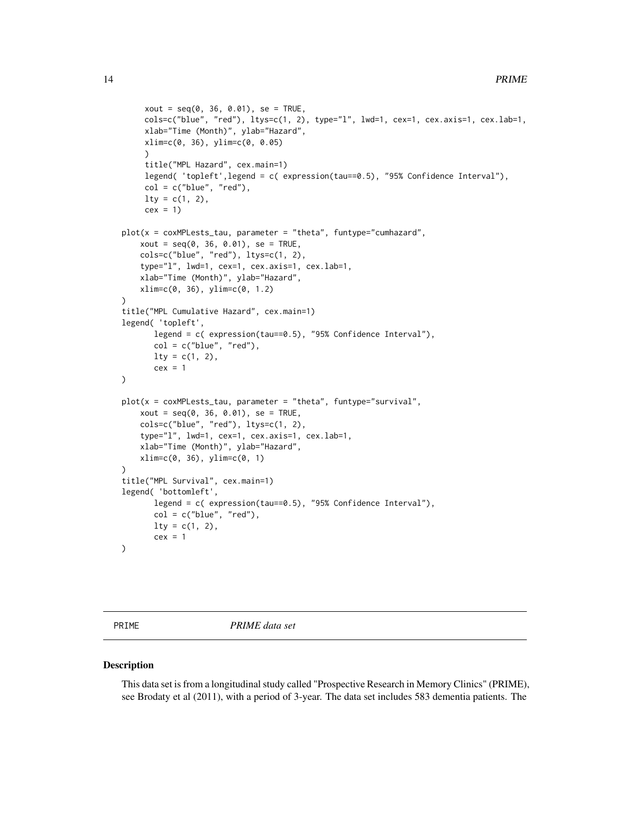```
xout = seq(0, 36, 0.01), se = TRUE,cols=c("blue", "red"), ltys=c(1, 2), type="l", lwd=1, cex=1, cex.axis=1, cex.lab=1,
     xlab="Time (Month)", ylab="Hazard",
     xlim=c(0, 36), ylim=c(0, 0.05)
     \lambdatitle("MPL Hazard", cex.main=1)
     legend( 'topleft',legend = c( expression(tau==0.5), "95% Confidence Interval"),
     col = c("blue", "red"),lty = c(1, 2),cex = 1plot(x = cosMPTests\_tau, parameter = "theta", funtype="cumhazard",xout = seq(0, 36, 0.01), se = TRUE,cols=c("blue", "red"), ltys=c(1, 2),
    type="l", lwd=1, cex=1, cex.axis=1, cex.lab=1,
    xlab="Time (Month)", ylab="Hazard",
    xlim=c(0, 36), ylim=c(0, 1.2)
)
title("MPL Cumulative Hazard", cex.main=1)
legend( 'topleft',
       legend = c( expression(tau==0.5), "95% Confidence Interval"),
       col = c("blue", "red"),lty = c(1, 2),cex = 1\mathcal{L}plot(x = cosMPTests\_tau, parameter = "theta", funtype="survival",xout = seq(0, 36, 0.01), se = TRUE,cols=c("blue", "red"), ltys=c(1, 2),
    type="l", lwd=1, cex=1, cex.axis=1, cex.lab=1,
    xlab="Time (Month)", ylab="Hazard",
   xlim=c(0, 36), ylim=c(0, 1)
\lambdatitle("MPL Survival", cex.main=1)
legend( 'bottomleft',
       legend = c( expression(tau==0.5), "95% Confidence Interval"),
       col = c("blue", "red"),lty = c(1, 2),cex = 1)
```
PRIME *PRIME data set*

#### Description

This data set is from a longitudinal study called "Prospective Research in Memory Clinics" (PRIME), see Brodaty et al (2011), with a period of 3-year. The data set includes 583 dementia patients. The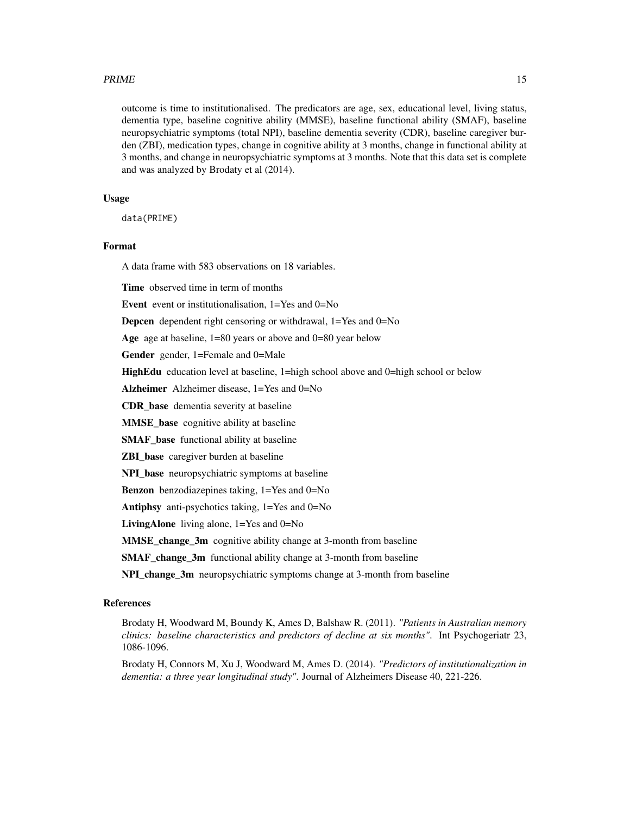#### $PRIME$  15

outcome is time to institutionalised. The predicators are age, sex, educational level, living status, dementia type, baseline cognitive ability (MMSE), baseline functional ability (SMAF), baseline neuropsychiatric symptoms (total NPI), baseline dementia severity (CDR), baseline caregiver burden (ZBI), medication types, change in cognitive ability at 3 months, change in functional ability at 3 months, and change in neuropsychiatric symptoms at 3 months. Note that this data set is complete and was analyzed by Brodaty et al (2014).

# Usage

data(PRIME)

## Format

A data frame with 583 observations on 18 variables.

Time observed time in term of months

Event event or institutionalisation, 1=Yes and 0=No

Depcen dependent right censoring or withdrawal, 1=Yes and 0=No

Age age at baseline, 1=80 years or above and 0=80 year below

Gender gender, 1=Female and 0=Male

HighEdu education level at baseline, 1=high school above and 0=high school or below

Alzheimer Alzheimer disease, 1=Yes and 0=No

CDR\_base dementia severity at baseline

MMSE\_base cognitive ability at baseline

**SMAF** base functional ability at baseline

ZBI\_base caregiver burden at baseline

NPI\_base neuropsychiatric symptoms at baseline

Benzon benzodiazepines taking, 1=Yes and 0=No

Antiphsy anti-psychotics taking, 1=Yes and 0=No

LivingAlone living alone, 1=Yes and 0=No

MMSE\_change\_3m cognitive ability change at 3-month from baseline

SMAF\_change\_3m functional ability change at 3-month from baseline

NPI\_change\_3m neuropsychiatric symptoms change at 3-month from baseline

# References

Brodaty H, Woodward M, Boundy K, Ames D, Balshaw R. (2011). *"Patients in Australian memory clinics: baseline characteristics and predictors of decline at six months"*. Int Psychogeriatr 23, 1086-1096.

Brodaty H, Connors M, Xu J, Woodward M, Ames D. (2014). *"Predictors of institutionalization in dementia: a three year longitudinal study"*. Journal of Alzheimers Disease 40, 221-226.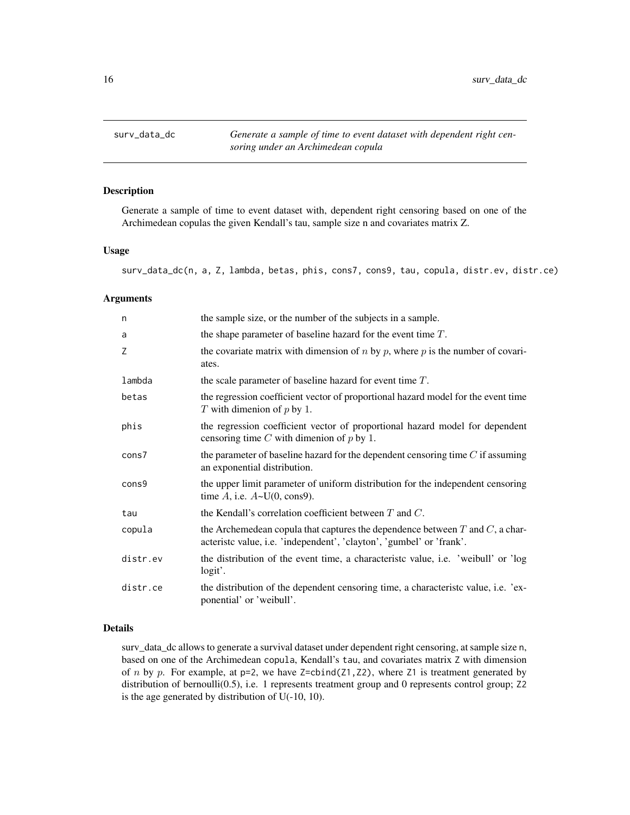<span id="page-15-0"></span>

#### Description

Generate a sample of time to event dataset with, dependent right censoring based on one of the Archimedean copulas the given Kendall's tau, sample size n and covariates matrix Z.

# Usage

surv\_data\_dc(n, a, Z, lambda, betas, phis, cons7, cons9, tau, copula, distr.ev, distr.ce)

# Arguments

| n        | the sample size, or the number of the subjects in a sample.                                                                                                |
|----------|------------------------------------------------------------------------------------------------------------------------------------------------------------|
| a        | the shape parameter of baseline hazard for the event time $T$ .                                                                                            |
| Ζ        | the covariate matrix with dimension of $n$ by $p$ , where $p$ is the number of covari-<br>ates.                                                            |
| lambda   | the scale parameter of baseline hazard for event time $T$ .                                                                                                |
| betas    | the regression coefficient vector of proportional hazard model for the event time<br>T with dimenion of $p$ by 1.                                          |
| phis     | the regression coefficient vector of proportional hazard model for dependent<br>censoring time $C$ with dimenion of $p$ by 1.                              |
| cons7    | the parameter of baseline hazard for the dependent censoring time $C$ if assuming<br>an exponential distribution.                                          |
| cons9    | the upper limit parameter of uniform distribution for the independent censoring<br>time $A$ , i.e. $A \sim U(0, \text{cons}9)$ .                           |
| tau      | the Kendall's correlation coefficient between $T$ and $C$ .                                                                                                |
| copula   | the Archemedean copula that captures the dependence between $T$ and $C$ , a char-<br>acteristic value, i.e. 'independent', 'clayton', 'gumbel' or 'frank'. |
| distr.ev | the distribution of the event time, a characteristic value, i.e. 'weibull' or 'log<br>logit'.                                                              |
| distr.ce | the distribution of the dependent censoring time, a characteristic value, i.e. 'ex-<br>ponential' or 'weibull'.                                            |

# Details

surv\_data\_dc allows to generate a survival dataset under dependent right censoring, at sample size n, based on one of the Archimedean copula, Kendall's tau, and covariates matrix Z with dimension of n by p. For example, at  $p=2$ , we have  $Z=cbind(Z1, Z2)$ , where  $Z1$  is treatment generated by distribution of bernoulli(0.5), i.e. 1 represents treatment group and 0 represents control group; Z2 is the age generated by distribution of U(-10, 10).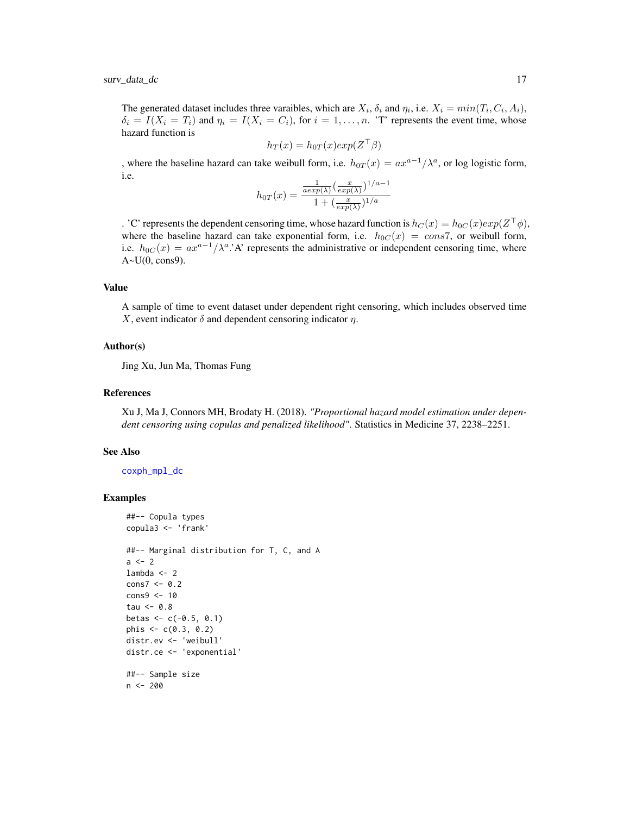<span id="page-16-0"></span>surv\_data\_dc 17

The generated dataset includes three varaibles, which are  $X_i$ ,  $\delta_i$  and  $\eta_i$ , i.e.  $X_i = min(T_i, C_i, A_i)$ ,  $\delta_i = I(X_i = T_i)$  and  $\eta_i = I(X_i = C_i)$ , for  $i = 1, ..., n$ . 'T' represents the event time, whose hazard function is

$$
h_T(x) = h_{0T}(x) exp(Z^{\top}\beta)
$$

, where the baseline hazard can take weibull form, i.e.  $h_{0T}(x) = ax^{a-1}/\lambda^a$ , or log logistic form, i.e.

$$
h_{0T}(x) = \frac{\frac{1}{a \exp(\lambda)} \left(\frac{x}{\exp(\lambda)}\right)^{1/a - 1}}{1 + \left(\frac{x}{\exp(\lambda)}\right)^{1/a}}
$$

. 'C' represents the dependent censoring time, whose hazard function is  $h_C(x) = h_{0C}(x) exp(Z^{\top} \phi)$ , where the baseline hazard can take exponential form, i.e.  $h_{0C}(x) = \cos 7$ , or weibull form, i.e.  $h_{0C}(x) = ax^{a-1}/\lambda^a$ . A' represents the administrative or independent censoring time, where  $A \sim U(0, \text{cons}9)$ .

# Value

A sample of time to event dataset under dependent right censoring, which includes observed time X, event indicator  $\delta$  and dependent censoring indicator  $\eta$ .

#### Author(s)

Jing Xu, Jun Ma, Thomas Fung

#### References

Xu J, Ma J, Connors MH, Brodaty H. (2018). *"Proportional hazard model estimation under dependent censoring using copulas and penalized likelihood"*. Statistics in Medicine 37, 2238–2251.

#### See Also

[coxph\\_mpl\\_dc](#page-3-1)

##-- Copula types

```
copula3 <- 'frank'
##-- Marginal distribution for T, C, and A
a < -2lambda <- 2
cons7 < -0.2cons9 <- 10
tau <-0.8betas <-c(-0.5, 0.1)phis \leq c(0.3, 0.2)distr.ev <- 'weibull'
distr.ce <- 'exponential'
##-- Sample size
n < - 200
```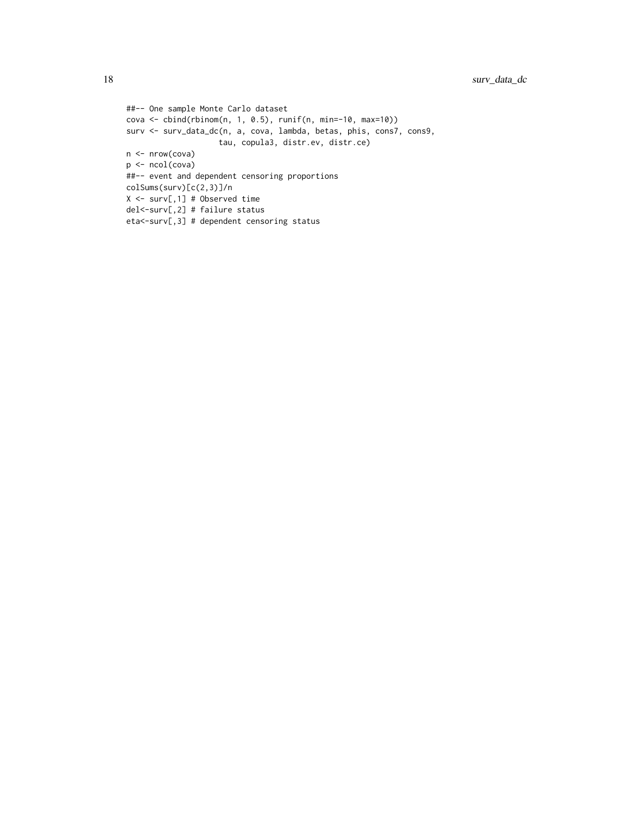```
##-- One sample Monte Carlo dataset
cova <- cbind(rbinom(n, 1, 0.5), runif(n, min=-10, max=10))
surv <- surv_data_dc(n, a, cova, lambda, betas, phis, cons7, cons9,
                   tau, copula3, distr.ev, distr.ce)
n <- nrow(cova)
p <- ncol(cova)
##-- event and dependent censoring proportions
colSums(surv)[c(2,3)]/n
X <- surv[,1] # Observed time
del<-surv[,2] # failure status
eta<-surv[,3] # dependent censoring status
```